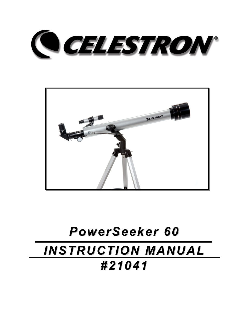



# *PowerSeeker 60 INSTRUCTION MANUAL #21041*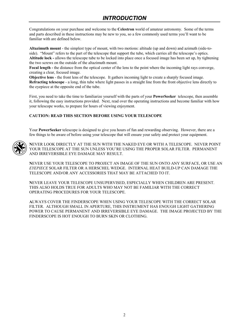## *INTRODUCTION*

Congratulations on your purchase and welcome to the **Celestron** world of amateur astronomy. Some of the terms and parts described in these instructions may be new to you, so a few commonly used terms you'll want to be familiar with are defined below.

**Altazimuth mount** - the simplest type of mount, with two motions: altitude (up and down) and azimuth (side-toside). "Mount" refers to the part of the telescope that support the tube, which carries all the telescope's optics. **Altitude lock -** allows the telescope tube to be locked into place once a focused image has been set up, by tightening the two screws on the outside of the altazimuth mount.

**Focal length -** the distance from the optical center of the lens to the point where the incoming light rays converge, creating a clear, focused image.

**Objective lens** - the front lens of the telescope. It gathers incoming light to create a sharply focused image. **Refracting telescope** - a long, thin tube where light passes in a straight line from the front objective lens directly to the eyepiece at the opposite end of the tube.

First, you need to take the time to familiarize yourself with the parts of your **PowerSeeker** telescope, then assemble it, following the easy instructions provided. Next, read over the operating instructions and become familiar with how your telescope works, to prepare for hours of viewing enjoyment.

#### **CAUTION: READ THIS SECTION BEFORE USING YOUR TELESCOPE**

Your **PowerSeeker** telescope is designed to give you hours of fun and rewarding observing. However, there are a few things to be aware of before using your telescope that will ensure your safety and protect your equipment.



**N**EVER LOOK DIRECTLY AT THE SUN WITH THE NAKED EYE OR WITH A TELESCOPE. NEVER POINT YOUR TELESCOPE AT THE SUN UNLESS YOU'RE USING THE PROPER SOLAR FILTER. PERMANENT AND IRREVERSIBLE EYE DAMAGE MAY RESULT.

**N**EVER USE YOUR TELESCOPE TO PROJECT AN IMAGE OF THE SUN ONTO ANY SURFACE, OR USE AN *EYEPIECE* SOLAR FILTER OR A HERSCHEL WEDGE. INTERNAL HEAT BUILD-UP CAN DAMAGE THE TELESCOPE AND/OR ANY ACCESSORIES THAT MAY BE ATTACHED TO IT.

**N**EVER LEAVE YOUR TELESCOPE UNSUPERVISED, ESPECIALLY WHEN CHILDREN ARE PRESENT. THIS ALSO HOLDS TRUE FOR ADULTS WHO MAY NOT BE FAMILIAR WITH THE CORRECT OPERATING PROCEDURES FOR YOUR TELESCOPE.

**A**LWAYS COVER THE FINDERSCOPE WHEN USING YOUR TELESCOPE WITH THE CORRECT SOLAR FILTER. ALTHOUGH SMALL IN APERTURE, THIS INSTRUMENT HAS ENOUGH LIGHT GATHERING POWER TO CAUSE PERMANENT AND IRREVERSIBLE EYE DAMAGE. THE IMAGE PROJECTED BY THE FINDERSCOPE IS HOT ENOUGH TO BURN SKIN OR CLOTHING.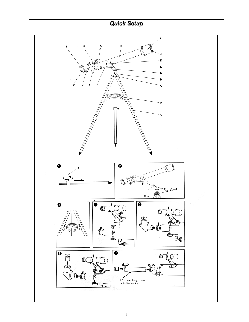# *Quick Setup*

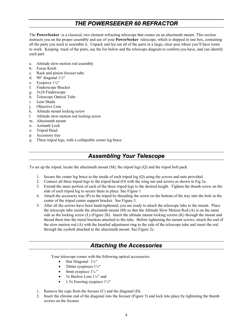#### *THE POWERSEEKER 60 REFRACTOR*

The **PowerSeeker** is a classical, two element refracting telescope that comes on an altazimuth mount. This section instructs you on the proper assembly and use of your **PowerSeeker** telescope, which is shipped in one box, containing all the parts you need to assemble it. Unpack and lay out all of the parts in a large, clear area where you'll have room to work. Keeping track of the parts, use the list below and the telescope diagram to confirm you have, and can identify each part.

- a. Altitude slow motion rod assembly
- b. Focus Knob
- c. Rack and pinion focuser tube
- d. 90 $^{\circ}$  diagonal  $1\frac{1}{4}$ "
- e. Eyepiece 1¼"
- f. Finderscope Bracket
- g. 5x24 Finderscope
- h. Telescope Optical Tube
- i. Lens Shade
- j. Objective Lens
- k. Altitude mount locking screw
- l. Altitude slow motion rod locking screw
- m. Altazimuth mount
- n. Azimuth Lock
- o. Tripod Head
- p. Accessory tray
- q. Three tripod legs, with a collapsible center leg brace

#### *Assembling Your Telescope*

To set up the tripod, locate the altazimuth mount (M), the tripod legs (Q) and the tripod bolt pack.

- 1. Secure the center leg brace to the inside of each tripod leg (Q) using the screws and nuts provided.
- 2. Connect all three tripod legs to the tripod head (O) with the wing nut and screws as shown in Fig 2a.
- 3. Extend the inner portion of each of the three tripod legs to the desired height. Tighten the thumb screw on the side of each tripod leg to secure them in place. See Figure 1
- 4. Attach the accessory tray (P) to the tripod by threading the screw on the bottom of the tray into the hole in the center of the tripod center support bracket. See Figure 3.
- 5. After all the screws have been hand-tightened, you are ready to attach the telescope tube to the mount. Place the telescope tube inside the altazimuth mount (M) so that the Altitude Slow Motion Rod (A) is on the same side as the locking screw (L) (Figure 2b). Insert the altitude mount locking screws (K) through the mount and thread them into the metal brackets attached to the tube. Before tightening the mount screws, attach the end of the slow motion rod (A) with the knurled adjustment ring to the side of the telescope tube and insert the rod through the eyebolt attached to the altazimuth mount. See Figure 2c.

#### *Attaching the Accessories*

Your telescope comes with the following optical accessories:

- Star Diagonal 1¼"
- 20mm eyepieces 1¼"
- 4mm eyepiece  $1\frac{1}{4}$ "
- 3x Barlow Lens 1¼" and
- 1.5x Erecting eyepiece  $1\frac{1}{4}$ "
- 1. Remove the caps from the focuser (C) and the diagonal (D).
- 2. Insert the chrome end of the diagonal into the focuser (Figure 5) and lock into place by tightening the thumb screws on the focuser.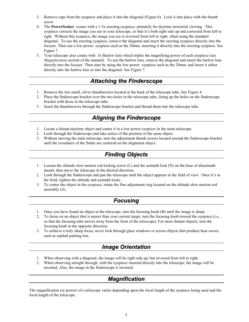- 3. Remove caps from the eyepiece and place it into the diagonal (Figure 6). Lock it into place with the thumb screw.
- 4. The **PowerSeeker** comes with a 1.5x erecting eyepiece, primarily for daytime terrestrial viewing. This eyepiece corrects the image you see in your telescope, so that it's both right side up and corrected from left to right. Without this eyepiece, the image you see is reversed from left to right, when using the standard diagonal. To use the erecting eyepiece, remove the diagonal and insert the erecting eyepiece directly into the focuser. Then use a low power eyepiece such as the 20mm, inserting it directly into the erecting eyepiece. See Figure 7.
- 5. Your telescope also comes with 3x Barlow lens which triples the magnifying power of each eyepiece (see *Magnification* section of the manual). To use the barlow lens, remove the diagonal and insert the barlow lens directly into the focuser. Then start by using the low power eyepiece such as the 20mm, and insert it either directly into the barlow lens or into the diagonal. See Figure 7.

## *Attaching the Finderscope*

- 1. Remove the two small, silver thumbscrews located at the back of the telescope tube. See Figure 4.
- 2. Place the finderscope bracket over the two holes in the telescope tube, lining up the holes on the finderscope bracket with those in the telescope tube.
- 3. Insert the thumbscrews through the finderscope bracket and thread them into the telescope tube.

## *Aligning the Finderscope*

- 1. Locate a distant daytime object and center it in a low power eyepiece in the main telescope.
- 2. Look through the finderscope and take notice of the position of the same object.
- 3. Without moving the main telescope, turn the adjustment thumb screws located around the finderscope bracket until the crosshairs of the finder are centered on the alignment object.

# *Finding Objects*

- 1. Loosen the altitude slow motion rod locking screw (L) and the azimuth lock (N) on the base of altazimuth mount, then move the telescope in the desired direction.
- 2. Look through the finderscope and pan the telescope until the object appears in the field of view. Once it's in the field, tighten the altitude and azimuth locks.
- 3. To center the object in the eyepiece, rotate the fine adjustment ring located on the altitude slow motion rod assembly (A).

#### *Focusing*

- 1. Once you have found an object in the telescope, turn the focusing knob (B) until the image is sharp.
- 2. To focus on an object that is nearer than your current target, turn the focusing knob toward the eyepiece (i.e., so that the focusing tube moves away from the front of the telescope). For more distant objects, turn the focusing knob in the opposite direction.
- 3. To achieve a truly sharp focus, never look through glass windows or across objects that produce heat waves, such as asphalt parking lots.

## *Image Orientation*

- 1. When observing with a diagonal, the image will be right side up, but reversed from left to right.
- 2. When observing straight through, with the eyepiece inserted directly into the telescope, the image will be inverted. Also, the image in the finderscope is inverted.

# *Magnification*

The magnification (or power) of a telescope varies depending upon the focal length of the eyepiece being used and the focal length of the telescope.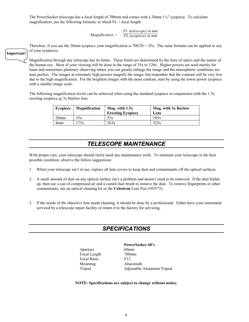The PowerSeeker telescope has a focal length of 700mm and comes with a  $20$ mm  $1/4$ " eyepiece. To calculate magnification, use the following formula, in which  $FL = focal$  length:

> *Magnification = FL (telescope) in mm FL (eyepiece) in mm*

Therefore, if you use the 20mm eyepiece your magnification is  $700/20 = 35x$ . The same formula can be applied to any of your eyepieces.

Magnification through any telescope has its limits. These limits are determined by the laws of optics and the nature of the human eye. Most of your viewing will be done in the range of 35x to 120x. Higher powers are used mainly for lunar and sometimes planetary observing where you can greatly enlarge the image and the atmospheric conditions are near perfect. The images at extremely high powers magnify the image, but remember that the contrast will be very low due to the high magnification. For the brightest images with the most contrast, start by using the lower power eyepiece with a smaller image scale.

The following magnification levels can be achieved when using the standard eyepiece in conjunction with the 1.5x erecting eyepiece or 3x Barlow lens:

| Evepiece         | <b>Magnification</b> | Mag. with $1.5x$<br><b>Erecting Eyepiece</b> | Mag. with 3x Barlow<br>Lens |
|------------------|----------------------|----------------------------------------------|-----------------------------|
| 20 <sub>mm</sub> | 35x                  | 53x                                          | 105x                        |
| 4mm              | 75x                  | 263x                                         | 525x                        |

#### *TELESCOPE MAINTENANCE*

With proper care, your telescope should rarely need any maintenance work. To maintain your telescope in the best possible condition, observe the follow suggestions:

- 1. When your telescope isn't in use, replace all lens covers to keep dust and contaminants off the optical surfaces.
- 2. A small amount of dust on any optical surface isn't a problem and doesn't need to be removed. If the dust builds up, then use a can of compressed air and a camels hair brush to remove the dust. To remove fingerprints or other contaminants, use an optical cleaning kit or the **Celestron** Lens Pen (#93575).
- 3. If the inside of the objective lens needs cleaning, it should be done by a professional. Either have your instrument serviced by a telescope repair facility or return it to the factory for servicing.

#### *SPECIFICATIONS*

Aperture 60mm Focal Length 700mm Focal Ratio f/12 Mounting Altazimuth

**PowerSeeker 60's**  Tripod Adjustable Aluminum Tripod

**NOTE: Specifications are subject to change without notice.** 

6

**Important!**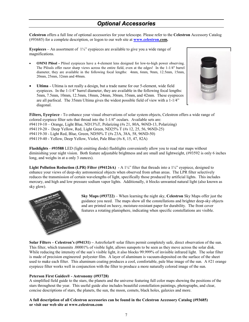#### *Optional Accessories*

**Celestron** offers a full line of optional accessories for your telescope. Please refer to the **Celestron** Accessory Catalog (#93685) for a complete description, or logon to our web site at **www.celestron.com.**

**Eyepieces** – An assortment of  $1\frac{1}{4}$ " eyepieces are available to give you a wide range of magnifications.

- **OMNI Plössl -** Plössl eyepieces have a 4-element lens designed for low-to-high power observing. The Plössls offer razor sharp views across the entire field, even at the edges! In the 1-1/4" barrel diameter, they are available in the following focal lengths: 4mm, 6mm, 9mm, 12.5mm, 15mm, 20mm, 25mm, 32mm and 40mm.
- **Ultima**  Ultima is not really a design, but a trade name for our 5-element, wide field eyepieces. In the 1-1/4" barrel diameter, they are available in the following focal lengths: 5mm, 7.5mm, 10mm, 12.5mm, 18mm, 24mm, 30mm, 35mm, and 42mm. These eyepieces are all parfocal. The 35mm Ultima gives the widest possible field of view with a 1-1/4" diagonal.



**Filters, Eyepiece** - To enhance your visual observations of solar system objects, Celestron offers a wide range of colored eyepiece filter sets that thread into the 1-1/4" oculars. Available sets are: #94119-10 – Orange, Light Blue, ND13%T, Polarizing (#s 21, 80A, 96ND-13, Polarizing) #94119-20 - Deep Yellow, Red, Light Green, ND25% T (#s 12, 25, 56, 96ND-25) #94119-30 - Light Red, Blue, Green, ND50% T (#s 23A, 38A, 58, 96ND-50) #94119-40 - Yellow, Deep Yellow, Violet, Pale Blue (#s 8, 15, 47, 82A)

**Flashlights** - **#93588** LED (light emitting diode) flashlights conveniently allow you to read star maps without diminishing your night vision. Both feature adjustable brightness and are small and lightweight, (#93592 is only 6 inches long, and weighs in at a only 3 ounces).

**Light Pollution Reduction (LPR) Filter (#94126A)** - A 1¼" filter that threads into a 1¼" eyepiece, designed to enhance your views of deep-sky astronomical objects when observed from urban areas. The LPR filter selectively reduces the transmission of certain wavelengths of light, specifically those produced by artificial lights. This includes mercury, and high and low pressure sodium vapor lights. Additionally, it blocks unwanted natural light (also known as sky glow).



**Sky Maps (#93722)** – When learning the night sky, **Celestron** Sky Maps offer just the guidance you need. The maps show all the constellations and brighter deep-sky objects and are printed on heavy, moisture-resistant paper for durability. The front cover features a rotating planisphere, indicating when specific constellations are visible.

**Solar Filters – Celestron's (#94131) –** AstroSolar® solar filters permit completely safe, direct observation of the sun. This filter, which transmits .00001% of visible light, allows sunspots to be seen as they move across the solar disk. While reducing the intensity of the sun's visible light, it also blocks 99.999% of invisible infrared light. The solar filter is made of precision engineered polyester film. A layer of aluminum is vacuum-deposited on the surface of the sheet used to make each filter. This aluminum coating produces a cool, comfortable, pale blue image of the sun. A  $#21$  orange eyepiece filter works well in conjunction with the filter to produce a more naturally colored image of the sun.

#### **Peterson First Guides® - Astronomy (#93728)**

A simplified field guide to the stars, the planets and the universe featuring full color maps showing the positions of the stars throughout the year. This useful guide also includes beautiful constellation paintings, photographs, and clear, concise descriptions of stars, the planets, the sun, the moon, comets, black holes, galaxies and more.

**A full description of all Celestron accessories can be found in the Celestron Accessory Catalog (#93685) or visit our web site at www.celestron.com**